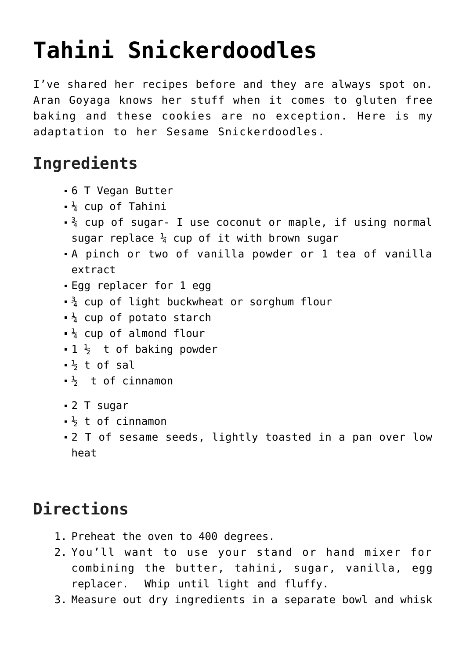## **[Tahini Snickerdoodles](https://laurenhubele.com/tahini-snickerdoodles/)**

I've shared her recipes before and they are always spot on. [Aran Goyaga](https://www.arangoyoaga.com/) knows her stuff when it comes to gluten free baking and these cookies are no exception. Here is my adaptation to her Sesame Snickerdoodles.

## **Ingredients**

- 6 T Vegan Butter
- $\frac{1}{4}$  cup of Tahini
- $\frac{3}{4}$  cup of sugar- I use coconut or maple, if using normal sugar replace  $\frac{1}{4}$  cup of it with brown sugar
- A pinch or two of vanilla powder or 1 tea of vanilla extract
- Egg replacer for 1 egg
- $\frac{3}{4}$  cup of light buckwheat or sorghum flour
- $\frac{1}{4}$  cup of potato starch
- $\frac{1}{4}$  cup of almond flour
- $-1$   $\frac{1}{2}$  t of baking powder
- $\frac{1}{2}$  t of sal
- $\frac{1}{2}$  t of cinnamon
- 2 T sugar
- $\frac{1}{2}$  t of cinnamon
- 2 T of sesame seeds, lightly toasted in a pan over low heat

## **Directions**

- 1. Preheat the oven to 400 degrees.
- 2. You'll want to use your stand or hand mixer for combining the butter, tahini, sugar, vanilla, egg replacer. Whip until light and fluffy.
- 3. Measure out dry ingredients in a separate bowl and whisk